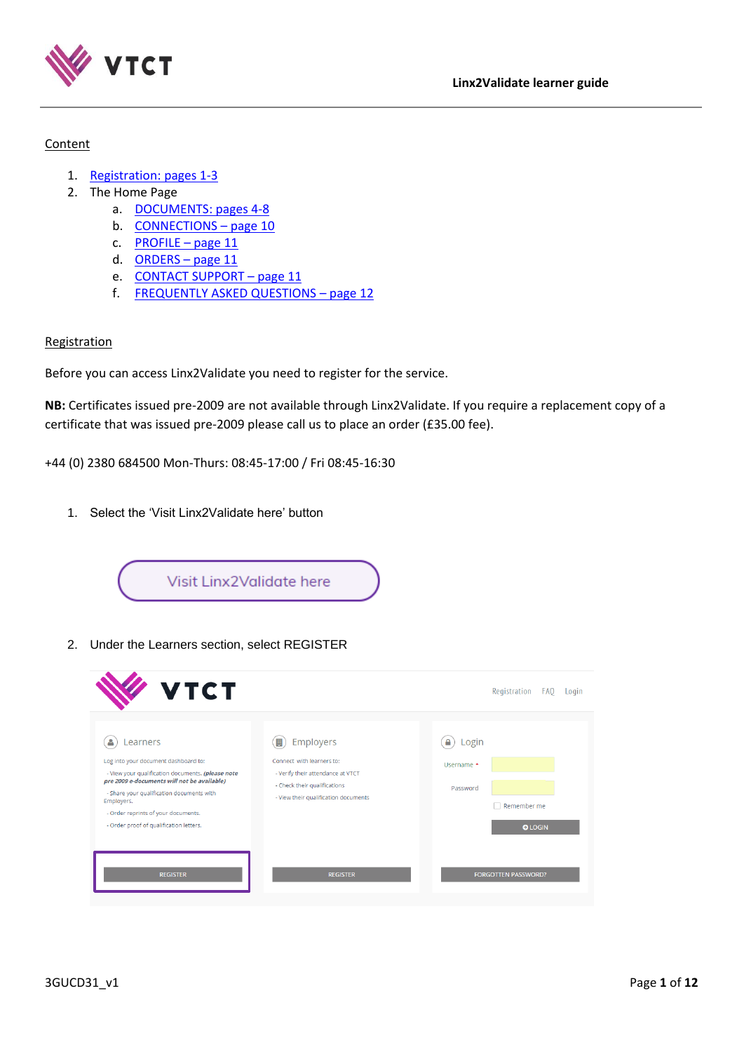

# Content

- 1. [Registration: pages 1-3](#page-0-0)
- 2. The Home Page
	- a. [DOCUMENTS: pages](#page-3-0) 4-8
	- b. [CONNECTIONS](#page-9-0)  page 10
	- c. [PROFILE](#page-10-0)  page 11
	- d. [ORDERS](#page-10-1)  page 11
	- e. [CONTACT SUPPORT](#page-10-2)  page 11
	- f. [FREQUENTLY ASKED QUESTIONS](#page-11-0)  page 12

# <span id="page-0-0"></span>**Registration**

Before you can access Linx2Validate you need to register for the service.

**NB:** Certificates issued pre-2009 are not available through Linx2Validate. If you require a replacement copy of a certificate that was issued pre-2009 please call us to place an order (£35.00 fee).

+44 (0) 2380 684500 Mon-Thurs: 08:45-17:00 / Fri 08:45-16:30

1. Select the 'Visit Linx2Validate here' button



2. Under the Learners section, select REGISTER

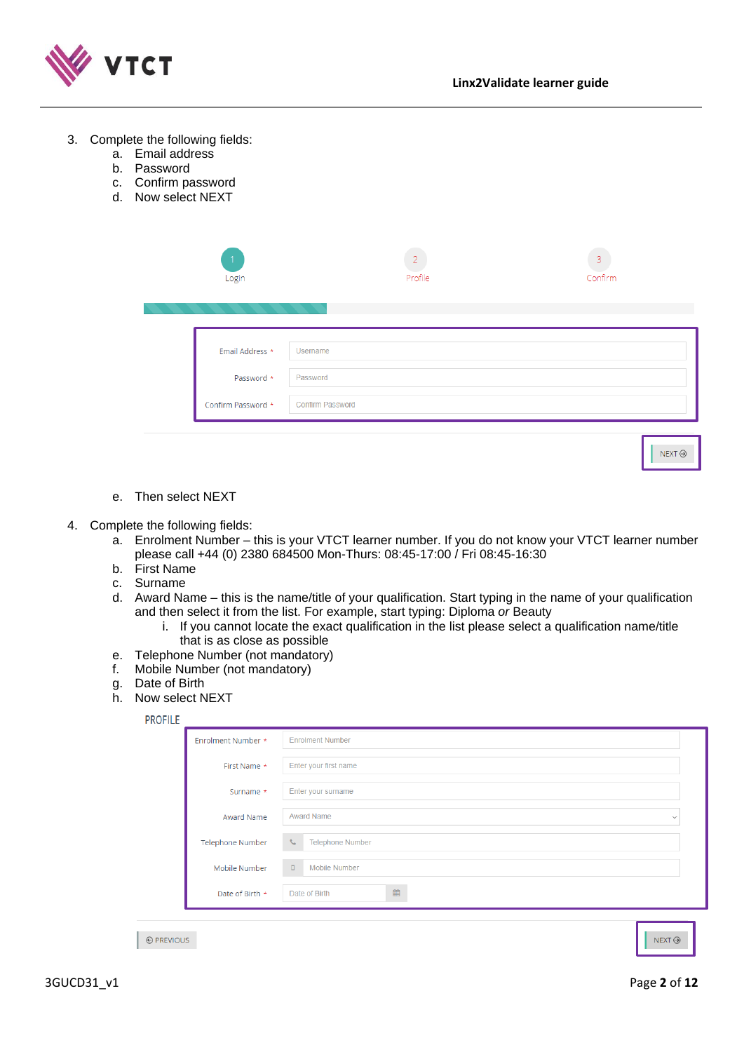

| Complete the following fields:<br>3.<br>a. Email address<br>Password<br>b.<br>Confirm password<br>c.<br>Now select NEXT<br>d. |  |                                                     |                                         |                |
|-------------------------------------------------------------------------------------------------------------------------------|--|-----------------------------------------------------|-----------------------------------------|----------------|
|                                                                                                                               |  | Login                                               | Profile                                 | 3<br>Confirm   |
|                                                                                                                               |  | Email Address *<br>Password *<br>Confirm Password * | Usemame<br>Password<br>Confirm Password |                |
|                                                                                                                               |  |                                                     |                                         | $NEXT$ $\odot$ |

e. Then select NEXT

#### 4. Complete the following fields:

- a. Enrolment Number this is your VTCT learner number. If you do not know your VTCT learner number please call +44 (0) 2380 684500 Mon-Thurs: 08:45-17:00 / Fri 08:45-16:30
- b. First Name
- c. Surname
- d. Award Name this is the name/title of your qualification. Start typing in the name of your qualification and then select it from the list. For example, start typing: Diploma *or* Beauty
	- i. If you cannot locate the exact qualification in the list please select a qualification name/title that is as close as possible
- e. Telephone Number (not mandatory)
- f. Mobile Number (not mandatory)
- g. Date of Birth
- h. Now select NEXT

| Enrolment Number *      | <b>Enrolment Number</b>                                |
|-------------------------|--------------------------------------------------------|
| First Name *            | Enter your first name                                  |
| Surname *               | Enter your surname                                     |
| Award Name              | <b>Award Name</b><br>$\checkmark$                      |
| <b>Telephone Number</b> | $\mathcal{L}_{\mathcal{L}}$<br><b>Telephone Number</b> |
| Mobile Number           | $\Box$<br><b>Mobile Number</b>                         |
| Date of Birth *         | 曲<br>Date of Birth                                     |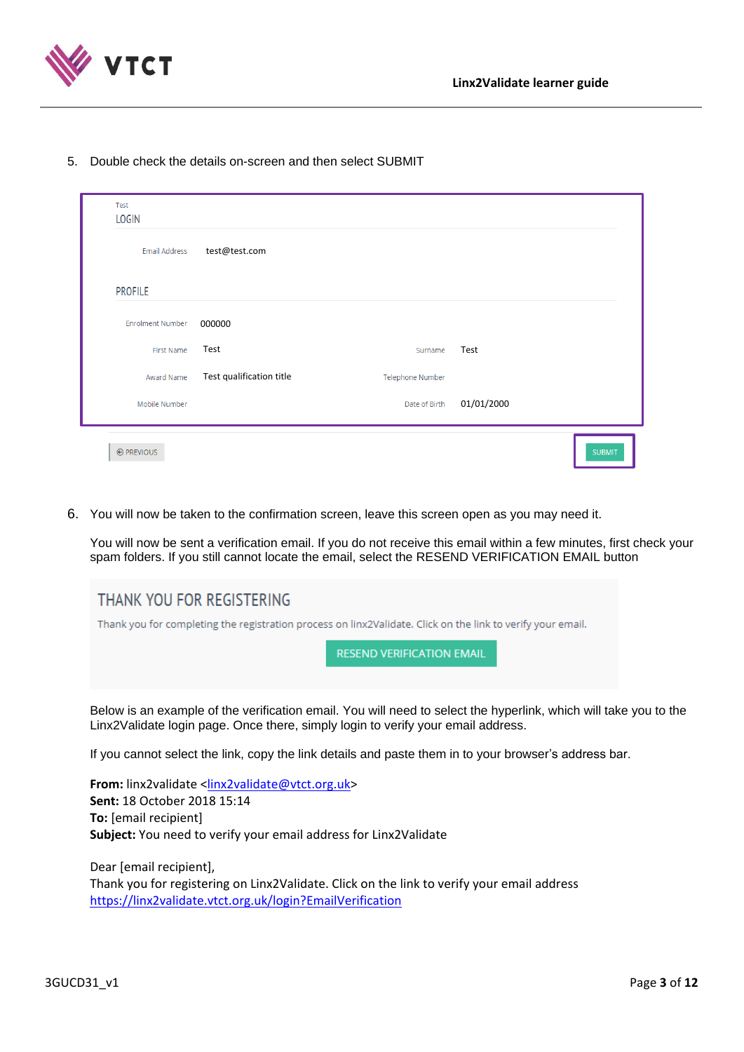

5. Double check the details on-screen and then select SUBMIT

| Test<br><b>LOGIN</b>    |                          |                         |            |  |
|-------------------------|--------------------------|-------------------------|------------|--|
| Email Address           | test@test.com            |                         |            |  |
| <b>PROFILE</b>          |                          |                         |            |  |
| <b>Enrolment Number</b> | 000000                   |                         |            |  |
| First Name              | Test                     | Surname                 | Test       |  |
| Award Name              | Test qualification title | <b>Telephone Number</b> |            |  |
| Mobile Number           |                          | Date of Birth           | 01/01/2000 |  |

6. You will now be taken to the confirmation screen, leave this screen open as you may need it.

You will now be sent a verification email. If you do not receive this email within a few minutes, first check your spam folders. If you still cannot locate the email, select the RESEND VERIFICATION EMAIL button

| THANK YOU FOR REGISTERING                                                                                   |  |  |
|-------------------------------------------------------------------------------------------------------------|--|--|
| Thank you for completing the registration process on linx2Validate. Click on the link to verify your email. |  |  |
| <b>RESEND VERIFICATION EMAIL</b>                                                                            |  |  |
|                                                                                                             |  |  |

Below is an example of the verification email. You will need to select the hyperlink, which will take you to the Linx2Validate login page. Once there, simply login to verify your email address.

If you cannot select the link, copy the link details and paste them in to your browser's address bar.

**From:** linx2validate [<linx2validate@vtct.org.uk>](mailto:linx2validate@vtct.org.uk) **Sent:** 18 October 2018 15:14 **To:** [email recipient] **Subject:** You need to verify your email address for Linx2Validate

Dear [email recipient], Thank you for registering on Linx2Validate. Click on the link to verify your email address https://linx2validate.vtct.org.uk/login?EmailVerification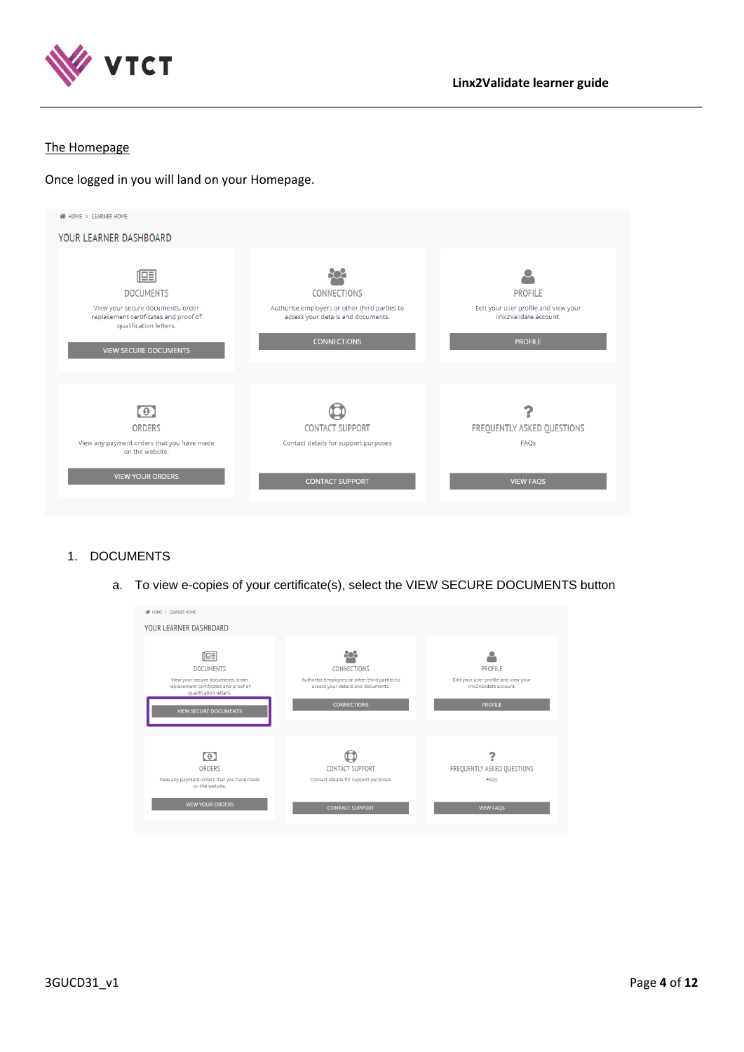

## The Homepage

Once logged in you will land on your Homepage.



# <span id="page-3-0"></span>1. DOCUMENTS

a. To view e-copies of your certificate(s), select the VIEW SECURE DOCUMENTS button

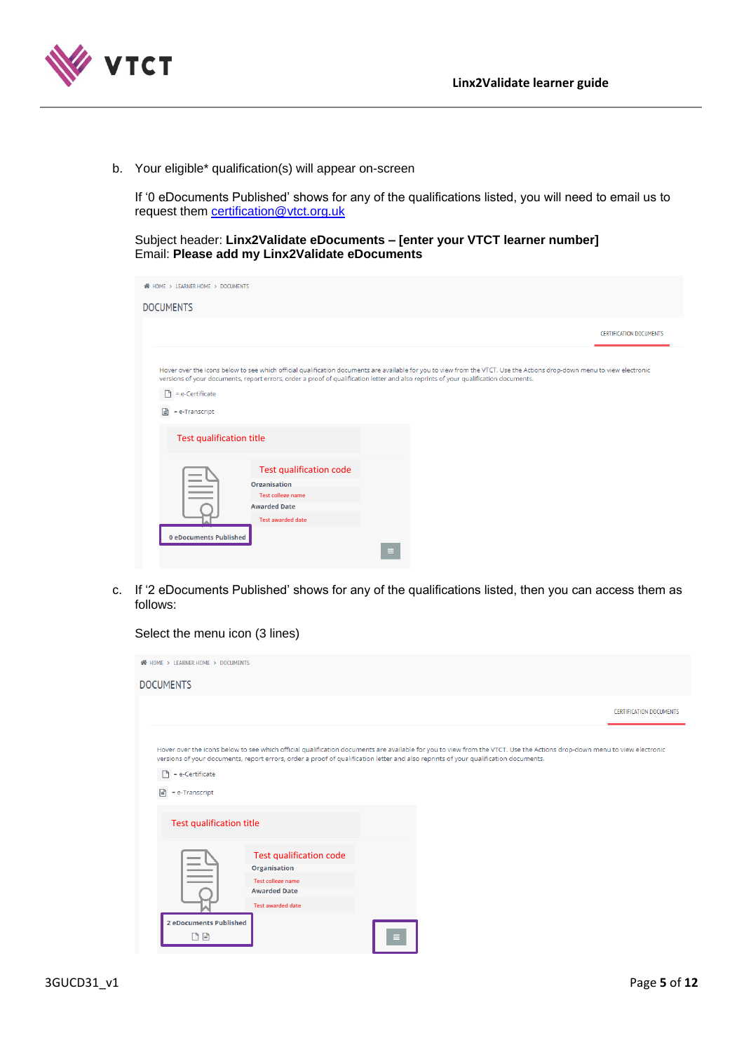

b. Your eligible\* qualification(s) will appear on-screen

If '0 eDocuments Published' shows for any of the qualifications listed, you will need to email us to request them [certification@vtct.org.uk](mailto:certification@vtct.org.uk)

Subject header: **Linx2Validate eDocuments – [enter your VTCT learner number]** Email: **Please add my Linx2Validate eDocuments**

| HOME > LEARNER HOME > DOCUMENTS                                                                                                                                                                                                                                                                                                                                  |                                                                                                                               |   |                                |
|------------------------------------------------------------------------------------------------------------------------------------------------------------------------------------------------------------------------------------------------------------------------------------------------------------------------------------------------------------------|-------------------------------------------------------------------------------------------------------------------------------|---|--------------------------------|
| <b>DOCUMENTS</b>                                                                                                                                                                                                                                                                                                                                                 |                                                                                                                               |   |                                |
|                                                                                                                                                                                                                                                                                                                                                                  |                                                                                                                               |   | <b>CERTIFICATION DOCUMENTS</b> |
| Hover over the icons below to see which official qualification documents are available for you to view from the VTCT. Use the Actions drop-down menu to view electronic<br>versions of your documents, report errors, order a proof of qualification letter and also reprints of your qualification documents.<br>$= e$ -Certificate<br>∩<br>目<br>= e-Transcript |                                                                                                                               |   |                                |
| <b>Test qualification title</b>                                                                                                                                                                                                                                                                                                                                  |                                                                                                                               |   |                                |
| <b>STATISTICS</b><br><b>0 eDocuments Published</b>                                                                                                                                                                                                                                                                                                               | <b>Test qualification code</b><br><b>Organisation</b><br>Test college name<br><b>Awarded Date</b><br><b>Test awarded date</b> | Ξ |                                |

c. If '2 eDocuments Published' shows for any of the qualifications listed, then you can access them as follows:

### Select the menu icon (3 lines)

| < <a>A HOME &gt; LEARNER HOME &gt; DOCUMENTS</a> |                                                                                                                                                                                                                                                                                                                |  |                                |
|--------------------------------------------------|----------------------------------------------------------------------------------------------------------------------------------------------------------------------------------------------------------------------------------------------------------------------------------------------------------------|--|--------------------------------|
| <b>DOCUMENTS</b>                                 |                                                                                                                                                                                                                                                                                                                |  |                                |
|                                                  |                                                                                                                                                                                                                                                                                                                |  | <b>CERTIFICATION DOCUMENTS</b> |
| = e-Certificate<br>₽<br>= e-Transcript           | Hover over the icons below to see which official qualification documents are available for you to view from the VTCT. Use the Actions drop-down menu to view electronic<br>versions of your documents, report errors, order a proof of qualification letter and also reprints of your qualification documents. |  |                                |
| <b>Test qualification title</b>                  |                                                                                                                                                                                                                                                                                                                |  |                                |
|                                                  | <b>Test qualification code</b><br><b>Organisation</b><br>Test college name<br><b>Awarded Date</b><br><b>Test awarded date</b>                                                                                                                                                                                  |  |                                |
| 2 eDocuments Published<br>DB                     |                                                                                                                                                                                                                                                                                                                |  |                                |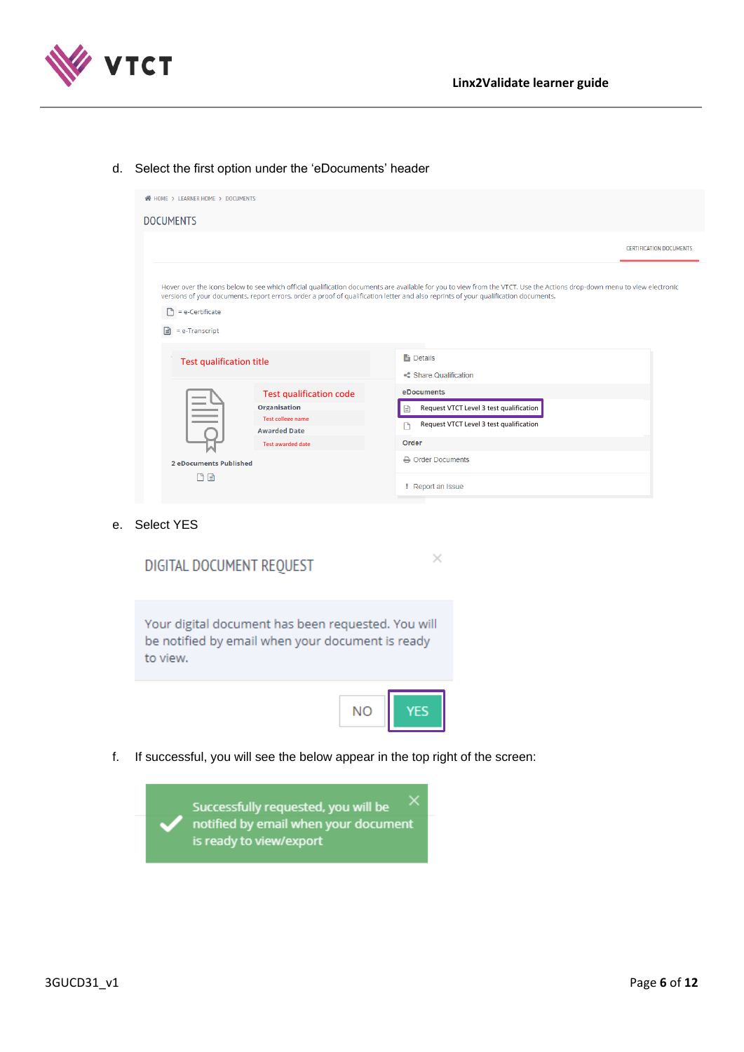

# d. Select the first option under the 'eDocuments' header

| <b>WE HOME &gt; LEARNER HOME &gt; DOCUMENTS</b> |                                                                                                                                                                                                                                                                                                                                                                                            |  |                                                                                                                       |                                |
|-------------------------------------------------|--------------------------------------------------------------------------------------------------------------------------------------------------------------------------------------------------------------------------------------------------------------------------------------------------------------------------------------------------------------------------------------------|--|-----------------------------------------------------------------------------------------------------------------------|--------------------------------|
| <b>DOCUMENTS</b>                                |                                                                                                                                                                                                                                                                                                                                                                                            |  |                                                                                                                       |                                |
|                                                 |                                                                                                                                                                                                                                                                                                                                                                                            |  |                                                                                                                       | <b>CERTIFICATION DOCUMENTS</b> |
| n<br>= e-Certificate<br>= e-Transcript<br>۱≝۱   | Hover over the icons below to see which official qualification documents are available for you to view from the VTCT. Use the Actions drop-down menu to view electronic<br>versions of your documents, report errors, order a proof of qualification letter and also reprints of your qualification documents.<br><b>Details</b><br><b>Test qualification title</b><br>Share Qualification |  |                                                                                                                       |                                |
|                                                 |                                                                                                                                                                                                                                                                                                                                                                                            |  |                                                                                                                       |                                |
|                                                 | <b>Test qualification code</b><br><b>Organisation</b><br>Test college name<br><b>Awarded Date</b><br>Test awarded date                                                                                                                                                                                                                                                                     |  | <b>eDocuments</b><br>Request VTCT Level 3 test qualification<br>Request VTCT Level 3 test qualification<br>m<br>Order |                                |
| <b>2 eDocuments Published</b><br>ΠA             |                                                                                                                                                                                                                                                                                                                                                                                            |  | A Order Documents<br><b>PReport an Issue</b>                                                                          |                                |

 $\times$ 

e. Select YES

|  |  | DIGITAL DOCUMENT REOUEST |  |
|--|--|--------------------------|--|
|--|--|--------------------------|--|

Your digital document has been requested. You will be notified by email when your document is ready to view.



f. If successful, you will see the below appear in the top right of the screen:

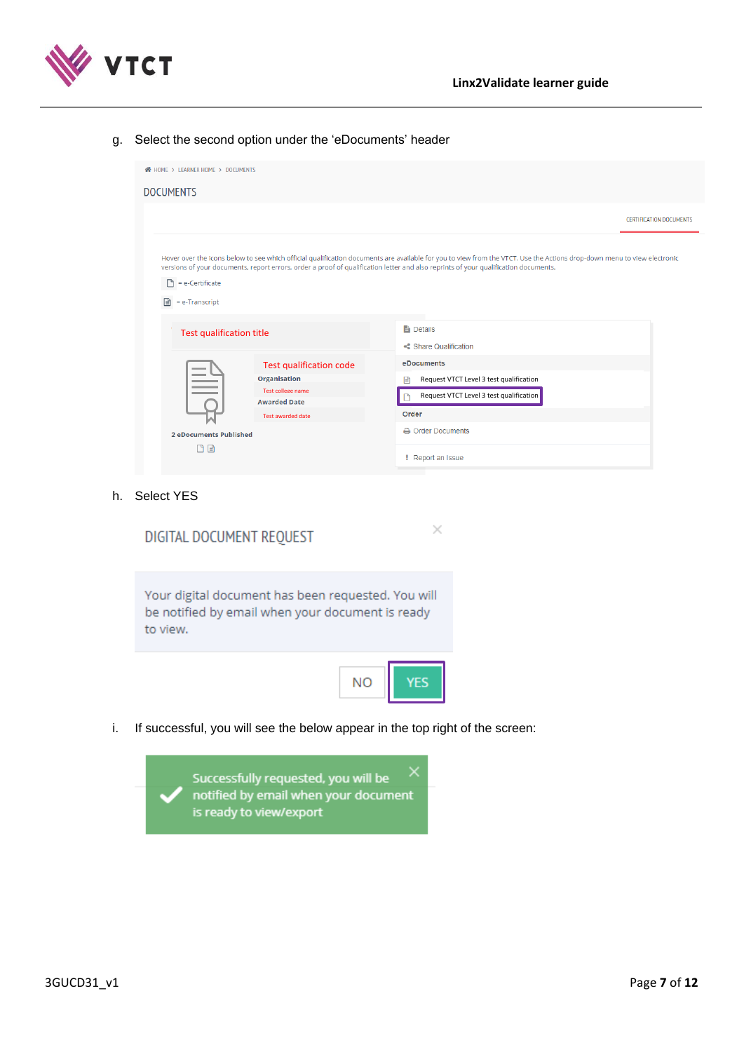



### g. Select the second option under the 'eDocuments' header

| <b>W</b> HOME > LEARNER HOME > DOCUMENTS                                                                                                                                    |                                                                                                                                                                         |
|-----------------------------------------------------------------------------------------------------------------------------------------------------------------------------|-------------------------------------------------------------------------------------------------------------------------------------------------------------------------|
| <b>DOCUMENTS</b>                                                                                                                                                            |                                                                                                                                                                         |
|                                                                                                                                                                             | <b>CERTIFICATION DOCUMENTS</b>                                                                                                                                          |
| versions of your documents, report errors, order a proof of qualification letter and also reprints of your qualification documents.<br>$= e$ -Certificate<br>= e-Transcript | Hover over the icons below to see which official qualification documents are available for you to view from the VTCT. Use the Actions drop-down menu to view electronic |
| Test qualification title                                                                                                                                                    | <b>Details</b><br>Share Qualification                                                                                                                                   |
| <b>Test qualification code</b><br><b>Organisation</b><br>Test college name<br><b>Awarded Date</b><br>Test awarded date                                                      | eDocuments<br>Request VTCT Level 3 test qualification<br>Iª<br>Request VTCT Level 3 test qualification<br>Order                                                         |
| <b>2 eDocuments Published</b><br>n B                                                                                                                                        | A Order Documents<br><b>PReport an Issue</b>                                                                                                                            |

### h. Select YES

| DIGITAL DOCUMENT REQUEST                                                                                           |  |
|--------------------------------------------------------------------------------------------------------------------|--|
| Your digital document has been requested. You will<br>be notified by email when your document is ready<br>to view. |  |
|                                                                                                                    |  |

i. If successful, you will see the below appear in the top right of the screen:

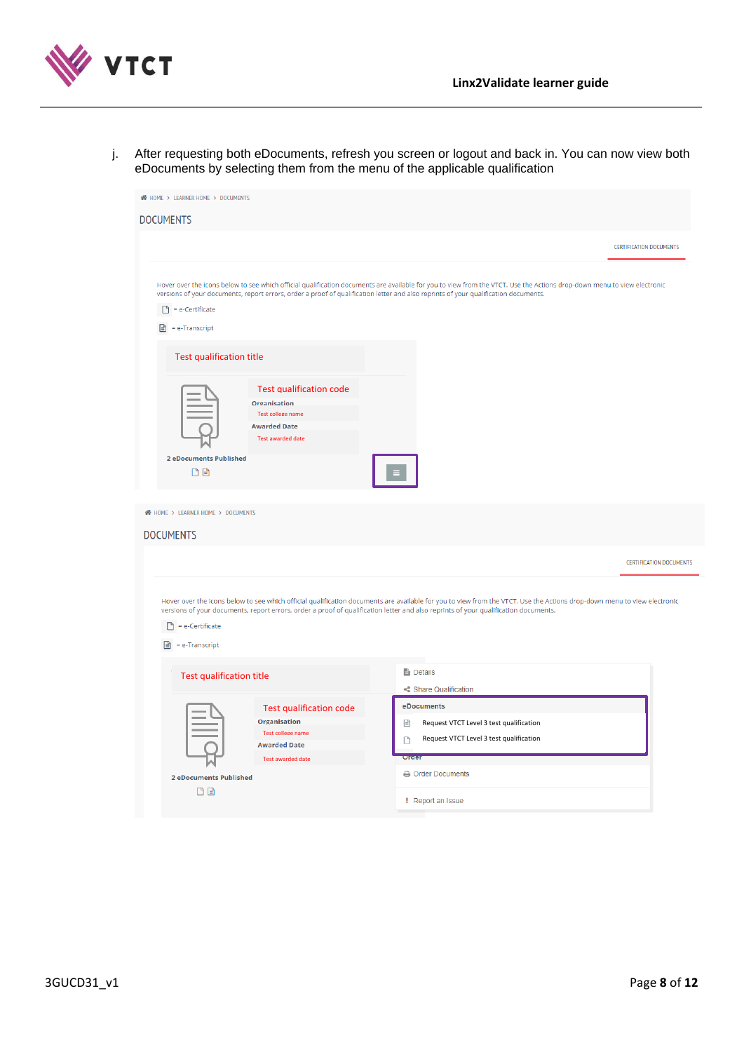

j. After requesting both eDocuments, refresh you screen or logout and back in. You can now view both eDocuments by selecting them from the menu of the applicable qualification

| <b>N</b> HOME > LEARNER HOME > DOCUMENTS                                          |                                                                                                                                      |                                                                                                                                                                                                                                                                                                                                  |                                |
|-----------------------------------------------------------------------------------|--------------------------------------------------------------------------------------------------------------------------------------|----------------------------------------------------------------------------------------------------------------------------------------------------------------------------------------------------------------------------------------------------------------------------------------------------------------------------------|--------------------------------|
| DOCUMENTS                                                                         |                                                                                                                                      |                                                                                                                                                                                                                                                                                                                                  |                                |
|                                                                                   |                                                                                                                                      |                                                                                                                                                                                                                                                                                                                                  | <b>CERTIFICATION DOCUMENTS</b> |
| $\Box$ = e-Certificate<br>$\triangleq$ = e-Transcript                             |                                                                                                                                      | Hover over the icons below to see which official qualification documents are available for you to view from the VTCT. Use the Actions drop-down menu to view electronic<br>versions of your documents, report errors, order a proof of qualification letter and also reprints of your qualification documents.                   |                                |
| <b>Test qualification title</b>                                                   |                                                                                                                                      |                                                                                                                                                                                                                                                                                                                                  |                                |
| <b>Organisation</b><br><b>Awarded Date</b><br><b>2 eDocuments Published</b><br>凸目 | <b>Test qualification code</b><br>Test college name<br><b>Test awarded date</b>                                                      |                                                                                                                                                                                                                                                                                                                                  |                                |
| <b>N</b> HOME > LEARNER HOME > DOCUMENTS                                          |                                                                                                                                      |                                                                                                                                                                                                                                                                                                                                  |                                |
| <b>DOCUMENTS</b>                                                                  |                                                                                                                                      |                                                                                                                                                                                                                                                                                                                                  |                                |
|                                                                                   |                                                                                                                                      |                                                                                                                                                                                                                                                                                                                                  | <b>CERTIFICATION DOCUMENTS</b> |
| n<br>= e-Certificate<br>Ռ<br>= e-Transcript                                       |                                                                                                                                      | Hover over the icons below to see which official qualification documents are available for you to view from the VTCT. Use the Actions drop-down menu to view electronic<br>versions of your documents, report errors, order a proof of qualification letter and also reprints of your qualification documents.<br><b>Details</b> |                                |
| <b>Test qualification title</b>                                                   |                                                                                                                                      | Share Qualification                                                                                                                                                                                                                                                                                                              |                                |
| <b>2 eDocuments Published</b><br>n B                                              | <b>Test qualification code</b><br><b>Organisation</b><br><b>Test college name</b><br><b>Awarded Date</b><br><b>Test awarded date</b> | eDocuments<br>Request VTCT Level 3 test qualification<br>B<br>Request VTCT Level 3 test qualification<br>D<br>order<br><b>A</b> Order Documents                                                                                                                                                                                  |                                |
|                                                                                   |                                                                                                                                      | <b>Peport an Issue</b>                                                                                                                                                                                                                                                                                                           |                                |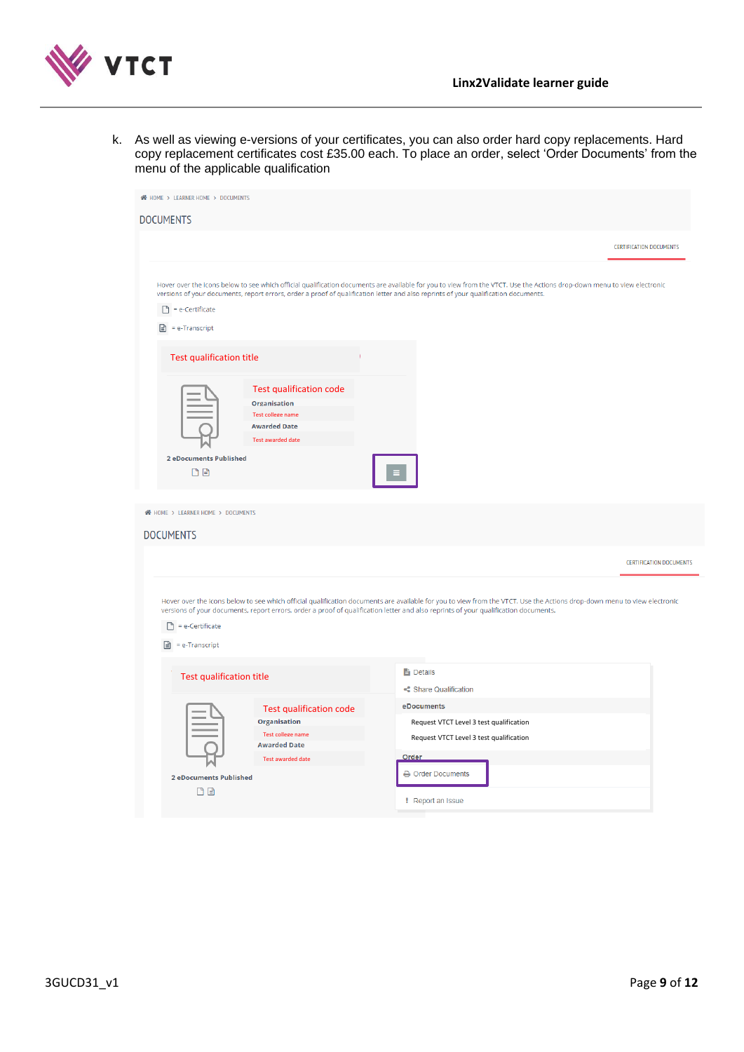

k. As well as viewing e-versions of your certificates, you can also order hard copy replacements. Hard copy replacement certificates cost £35.00 each. To place an order, select 'Order Documents' from the menu of the applicable qualification

| <b>N</b> HOME > LEARNER HOME > DOCUMENTS<br>DOCUMENTS                            |                                                                                                                               |                                                                                                                                                                                                                                                                                                                |
|----------------------------------------------------------------------------------|-------------------------------------------------------------------------------------------------------------------------------|----------------------------------------------------------------------------------------------------------------------------------------------------------------------------------------------------------------------------------------------------------------------------------------------------------------|
|                                                                                  |                                                                                                                               | <b>CERTIFICATION DOCUMENTS</b>                                                                                                                                                                                                                                                                                 |
| $\Box$ = e-Certificate<br>$\boxed{=}$ = e-Transcript<br>Test qualification title |                                                                                                                               | Hover over the icons below to see which official qualification documents are available for you to view from the VTCT. Use the Actions drop-down menu to view electronic<br>versions of your documents, report errors, order a proof of qualification letter and also reprints of your qualification documents. |
| 2 eDocuments Published<br>日日                                                     | <b>Test qualification code</b><br><b>Organisation</b><br>Test college name<br><b>Awarded Date</b><br><b>Test awarded date</b> |                                                                                                                                                                                                                                                                                                                |
| <b>N</b> HOME > LEARNER HOME > DOCUMENTS                                         |                                                                                                                               |                                                                                                                                                                                                                                                                                                                |
| <b>DOCUMENTS</b>                                                                 |                                                                                                                               |                                                                                                                                                                                                                                                                                                                |
|                                                                                  |                                                                                                                               | <b>CERTIFICATION DOCUMENTS</b>                                                                                                                                                                                                                                                                                 |
| = e-Certificate<br>n<br>$\boxed{=}$ = e-Transcript                               |                                                                                                                               | Hover over the icons below to see which official qualification documents are available for you to view from the VTCT. Use the Actions drop-down menu to view electronic<br>versions of your documents, report errors, order a proof of qualification letter and also reprints of your qualification documents. |
| <b>Test qualification title</b>                                                  |                                                                                                                               | <b>Details</b><br>Share Qualification                                                                                                                                                                                                                                                                          |
|                                                                                  | <b>Test qualification code</b><br><b>Organisation</b><br><b>Test college name</b><br><b>Awarded Date</b>                      | eDocuments<br>Request VTCT Level 3 test qualification<br>Request VTCT Level 3 test qualification                                                                                                                                                                                                               |
| <b>2 eDocuments Published</b><br>DB                                              | Test awarded date                                                                                                             | Order<br>Order Documents<br><b>Peport an Issue</b>                                                                                                                                                                                                                                                             |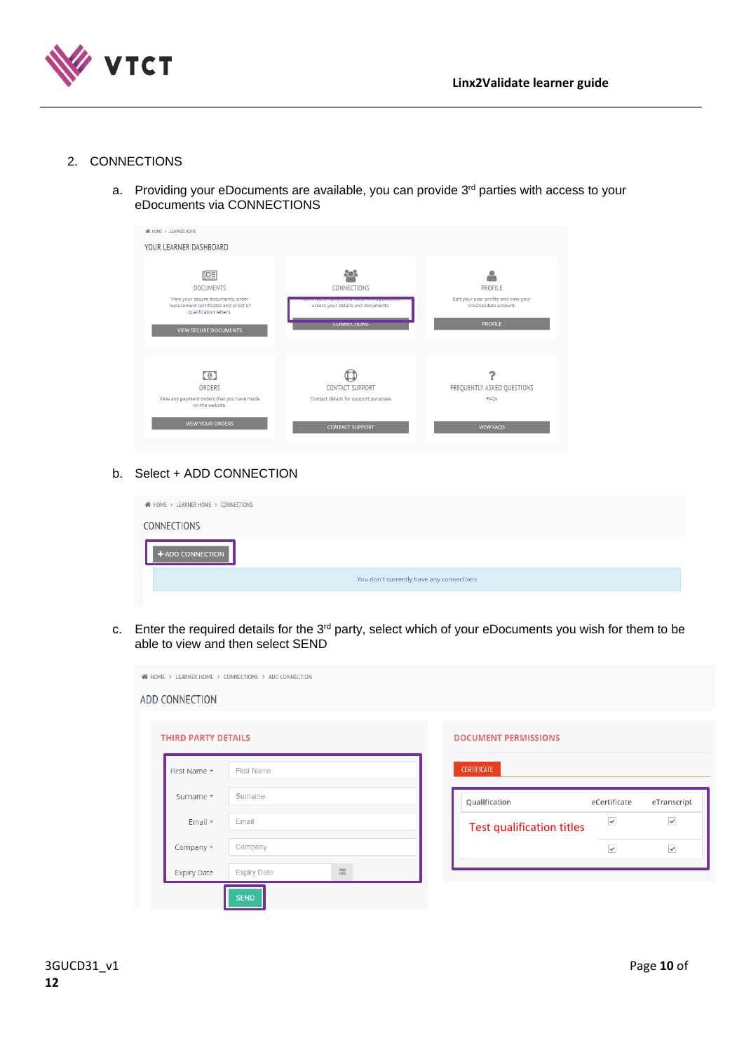

# <span id="page-9-0"></span>2. CONNECTIONS

a. Providing your eDocuments are available, you can provide  $3<sup>rd</sup>$  parties with access to your eDocuments via CONNECTIONS

| <b>WE HOME &gt; LEARNER HOME</b>                                                                     |                                                                                           |                                                                |
|------------------------------------------------------------------------------------------------------|-------------------------------------------------------------------------------------------|----------------------------------------------------------------|
| YOUR LEARNER DASHBOARD                                                                               |                                                                                           |                                                                |
|                                                                                                      |                                                                                           |                                                                |
| 唒                                                                                                    | පිරිපි                                                                                    |                                                                |
| <b>DOCUMENTS</b>                                                                                     | <b>CONNECTIONS</b>                                                                        | <b>PROFILE</b>                                                 |
| View your secure documents, order<br>replacement certificates and proof of<br>qualification letters. | <b>Authorise employers of our annual parties to</b><br>access your details and documents. | Edit your user profile and view your<br>linx2Validate account. |
| <b>VIEW SECURE DOCUMENTS</b>                                                                         | <b>CONNECTIONS</b>                                                                        | <b>PROFILE</b>                                                 |
|                                                                                                      |                                                                                           |                                                                |
|                                                                                                      |                                                                                           |                                                                |
| $\left( 0 \right)$                                                                                   |                                                                                           |                                                                |
| <b>ORDERS</b>                                                                                        | <b>CONTACT SUPPORT</b>                                                                    | FREQUENTLY ASKED QUESTIONS                                     |
| View any payment orders that you have made<br>on the website.                                        | Contact details for support purposes                                                      | FAOS                                                           |
| <b>VIEW YOUR ORDERS</b>                                                                              | <b>CONTACT SUPPORT</b>                                                                    | <b>VIEW FAQS</b>                                               |

# b. Select + ADD CONNECTION

| <b>NOME &gt; LEARNER HOME &gt; CONNECTIONS</b> |  |
|------------------------------------------------|--|
| <b>CONNECTIONS</b>                             |  |
| <b>+ ADD CONNECTION</b>                        |  |
| You don't currently have any connections       |  |

c. Enter the required details for the 3<sup>rd</sup> party, select which of your eDocuments you wish for them to be able to view and then select SEND

| <b>ADD CONNECTION</b>      |                         |                             |                         |              |
|----------------------------|-------------------------|-----------------------------|-------------------------|--------------|
|                            |                         |                             |                         |              |
| <b>THIRD PARTY DETAILS</b> |                         | <b>DOCUMENT PERMISSIONS</b> |                         |              |
| First Name *               | <b>First Name</b>       | <b>CERTIFICATE</b>          |                         |              |
| Surname *                  | Surname                 | Qualification               | eCertificate            | eTranscript  |
| Email *                    | Email                   | Test qualification titles   | $\overline{\smile}$     | $\checkmark$ |
| Company *                  | Company                 |                             | $\overline{\checkmark}$ | $\checkmark$ |
| <b>Expiry Date</b>         | 曲<br><b>Expiry Date</b> |                             |                         |              |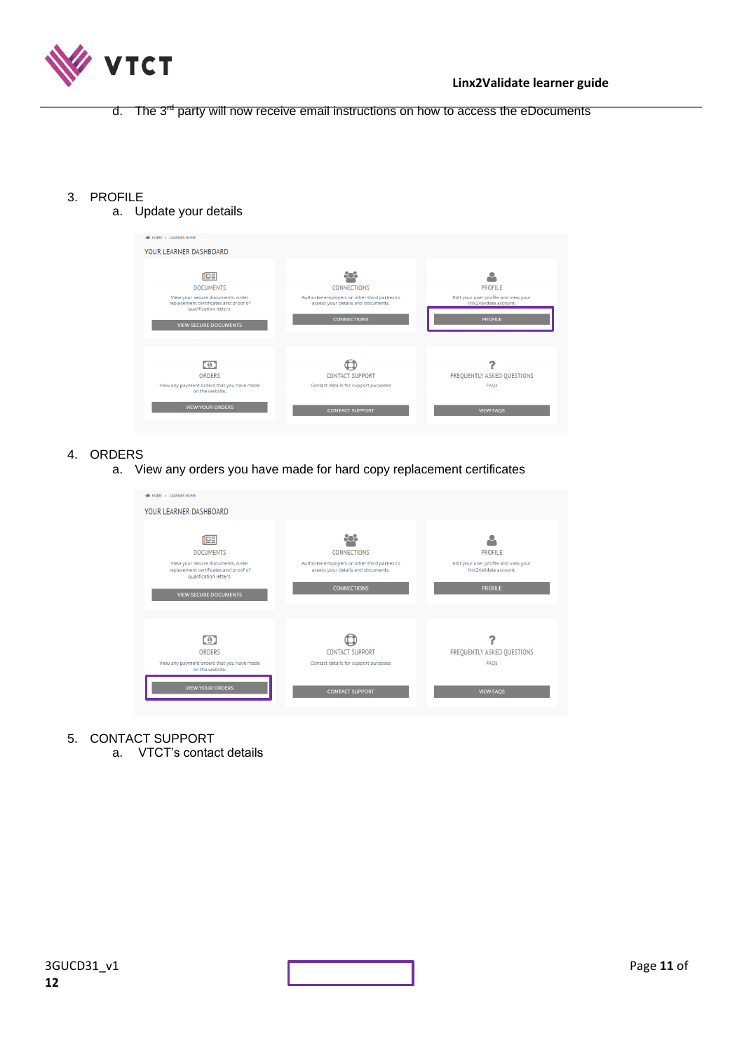

d. The 3<sup>rd</sup> party will now receive email instructions on how to access the eDocuments

- <span id="page-10-0"></span>3. PROFILE
	- a. Update your details

| <b>WE HOME &gt; LEARNER HOME</b>                                                                                                                              |                                                                                                                                 |                                                                                                    |
|---------------------------------------------------------------------------------------------------------------------------------------------------------------|---------------------------------------------------------------------------------------------------------------------------------|----------------------------------------------------------------------------------------------------|
| YOUR LEARNER DASHBOARD                                                                                                                                        |                                                                                                                                 |                                                                                                    |
| 嘻<br><b>DOCUMENTS</b><br>View your secure documents, order<br>replacement certificates and proof of<br>qualification letters.<br><b>VIEW SECURE DOCUMENTS</b> | <b>CONNECTIONS</b><br>Authorise employers or other third parties to<br>access your details and documents.<br><b>CONNECTIONS</b> | <b>PROFILE</b><br>Edit your user profile and view your<br>linx2Validate account.<br><b>PROFILE</b> |
| $\circ$<br><b>ORDERS</b><br>View any payment orders that you have made<br>on the website.<br><b>VIEW YOUR ORDERS</b>                                          | <b>CONTACT SUPPORT</b><br>Contact details for support purposes<br><b>CONTACT SUPPORT</b>                                        | FREQUENTLY ASKED QUESTIONS<br>FAOS<br><b>VIEW FAQS</b>                                             |

- <span id="page-10-1"></span>4. ORDERS
	- a. View any orders you have made for hard copy replacement certificates

| <b>WE HOME &gt; LEARNER HOME</b>                                                                     |                                                                                     |                                                                |
|------------------------------------------------------------------------------------------------------|-------------------------------------------------------------------------------------|----------------------------------------------------------------|
| YOUR LEARNER DASHBOARD                                                                               |                                                                                     |                                                                |
|                                                                                                      |                                                                                     |                                                                |
| 帼                                                                                                    | 809                                                                                 |                                                                |
| <b>DOCUMENTS</b>                                                                                     | <b>CONNECTIONS</b>                                                                  | <b>PROFILE</b>                                                 |
| View your secure documents, order<br>replacement certificates and proof of<br>qualification letters. | Authorise employers or other third parties to<br>access your details and documents. | Edit your user profile and view your<br>linx2Validate account. |
| <b>VIEW SECURE DOCUMENTS</b>                                                                         | <b>CONNECTIONS</b>                                                                  | <b>PROFILE</b>                                                 |
|                                                                                                      |                                                                                     |                                                                |
|                                                                                                      |                                                                                     |                                                                |
| $\boldsymbol{0}$                                                                                     |                                                                                     |                                                                |
| <b>ORDERS</b>                                                                                        | <b>CONTACT SUPPORT</b>                                                              | FREQUENTLY ASKED QUESTIONS                                     |
| View any payment orders that you have made<br>on the website.                                        | Contact details for support purposes                                                | FAQs                                                           |
| <b>VIEW YOUR ORDERS</b>                                                                              | <b>CONTACT SUPPORT</b>                                                              | <b>VIEW FAQS</b>                                               |
|                                                                                                      |                                                                                     |                                                                |

- <span id="page-10-2"></span>5. CONTACT SUPPORT
	- a. VTCT's contact details